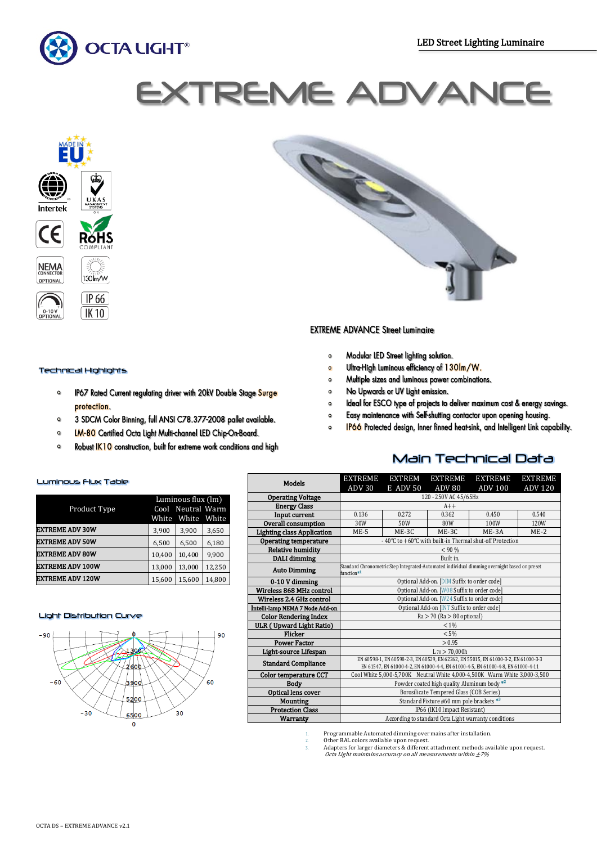

# **EXTREME AD**



# Technical Highlights

- IP67 Rated Current regulating driver with 20kV Double Stage Surge  $\circ$ protection.
- 3 SDCM Color Binning, full ANSI C78.377-2008 pallet available.  $\circ$
- LM-80 Certified Octa Light Multi-channel LED Chip-On-Board.
- Robust **IK10** construction, built for extreme work conditions and high

# **EXTREME ADVANCE Street Luminaire**

- Modular LED Street lighting solution.  $\circ$
- Ultra-High Luminous efficiency of 130Im/W.  $\circ$
- Multiple sizes and luminous power combinations.  $\bullet$
- No Upwards or UV Light emission.  $\bullet$
- Ideal for ESCO type of projects to deliver maximum cost & energy savings.  $\Omega$
- Easy maintenance with Self-shutting contactor upon opening housing.  $\circ$
- IP66 Protected design, Inner finned heat-sink, and Intelligent Link capability.  $\circ$

Main Technical Data

### Luminous Flux Table

|                         | Luminous flux (lm) |        |        |  |
|-------------------------|--------------------|--------|--------|--|
| Product Type            | Cool Neutral Warm  |        |        |  |
|                         | White              | White  | White  |  |
| <b>EXTREME ADV 30W</b>  | 3,900              | 3,900  | 3,650  |  |
| <b>EXTREME ADV 50W</b>  | 6,500              | 6,500  | 6,180  |  |
| <b>EXTREME ADV 80W</b>  | 10,400             | 10.400 | 9,900  |  |
| <b>EXTREME ADV 100W</b> | 13,000             | 13,000 | 12.250 |  |
| <b>EXTREME ADV 120W</b> | 15,600             | 15,600 | 14,800 |  |

#### Light Distribution Curve



| <b>Models</b>                     | EXTREME                                                                                                                                                               | EXTREM          | EXTREME                                  | EXTREME                       | EXTREME        |  |
|-----------------------------------|-----------------------------------------------------------------------------------------------------------------------------------------------------------------------|-----------------|------------------------------------------|-------------------------------|----------------|--|
|                                   | ADV <sub>30</sub>                                                                                                                                                     | <b>E ADV 50</b> | ADV <sub>80</sub>                        | $\overline{\mathrm{ADV}}$ 100 | <b>ADV 120</b> |  |
| <b>Operating Voltage</b>          | 120 - 250V AC 45/65Hz                                                                                                                                                 |                 |                                          |                               |                |  |
| <b>Energy Class</b>               | $A++$                                                                                                                                                                 |                 |                                          |                               |                |  |
| Input current                     | 0.136                                                                                                                                                                 | 0.272           | 0.362                                    | 0.450                         | 0.540          |  |
| Overall consumption               | 30W                                                                                                                                                                   | 50W             | 80W                                      | 100W                          | 120W           |  |
| <b>Lighting class Application</b> | $ME-5$                                                                                                                                                                | ME-3C           | $ME-3C$                                  | ME-3A                         | $ME-2$         |  |
| <b>Operating temperature</b>      | - 40°C to +60°C with built-in Thermal shut-off Protection                                                                                                             |                 |                                          |                               |                |  |
| <b>Relative humidity</b>          |                                                                                                                                                                       |                 | < 90 %                                   |                               |                |  |
| DALI dimming                      | Built in.                                                                                                                                                             |                 |                                          |                               |                |  |
| <b>Auto Dimming</b>               | Standard Chronometric Step Integrated-Automated individual dimming overnight based on preset<br>function <sup>#1</sup>                                                |                 |                                          |                               |                |  |
| 0-10 V dimming                    | Optional Add-on. [DIM Suffix to order code]                                                                                                                           |                 |                                          |                               |                |  |
| Wireless 868 MHz control          | Optional Add-on. [W08 Suffix to order code]                                                                                                                           |                 |                                          |                               |                |  |
| Wireless 2.4 GHz control          | Optional Add-on. [W24 Suffix to order code]                                                                                                                           |                 |                                          |                               |                |  |
| Intelli-lamp NEMA 7 Node Add-on   | Optional Add-on [INT Suffix to order code]                                                                                                                            |                 |                                          |                               |                |  |
| <b>Color Rendering Index</b>      | $Ra > 70$ ( $Ra > 80$ optional)                                                                                                                                       |                 |                                          |                               |                |  |
| ULR (Upward Light Ratio)          | $< 1\%$                                                                                                                                                               |                 |                                          |                               |                |  |
| <b>Flicker</b>                    | < 5%                                                                                                                                                                  |                 |                                          |                               |                |  |
| <b>Power Factor</b>               | > 0.95                                                                                                                                                                |                 |                                          |                               |                |  |
| Light-source Lifespan             | $L_{70} > 70,000h$                                                                                                                                                    |                 |                                          |                               |                |  |
| <b>Standard Compliance</b>        | EN 60598-1, EN 60598-2-3, EN 60529, EN 62262, EN 55015, EN 61000-3-2, EN 61000-3-3<br>EN 61547, EN 61000-4-2, EN 61000-4-4, EN 61000-4-5, EN 61000-4-8, EN 61000-4-11 |                 |                                          |                               |                |  |
| <b>Color temperature CCT</b>      | Cool White 5,000-5,700K Neutral White 4,000-4,500K Warm White 3,000-3,500                                                                                             |                 |                                          |                               |                |  |
| <b>Body</b>                       | Powder coated high quality Aluminum body <sup>#2</sup>                                                                                                                |                 |                                          |                               |                |  |
| Optical lens cover                | Borosilicate Tempered Glass (COB Series)                                                                                                                              |                 |                                          |                               |                |  |
| Mounting                          |                                                                                                                                                                       |                 | Standard Fixture ø60 mm pole brackets *3 |                               |                |  |
| <b>Protection Class</b>           | IP66 (IK10 Impact Resistant)                                                                                                                                          |                 |                                          |                               |                |  |
| Warranty                          | According to standard Octa Light warranty conditions                                                                                                                  |                 |                                          |                               |                |  |
|                                   |                                                                                                                                                                       |                 |                                          |                               |                |  |

1. Programmable Automated dimming over mains after installation. 2. Other RAL colors available upon request.

3. Adapters for larger diameters & different attachment methods available upon request. Octa Light maintains accuracy on all measurements within ±7%

# $\mathbf 0$

 $\Omega$